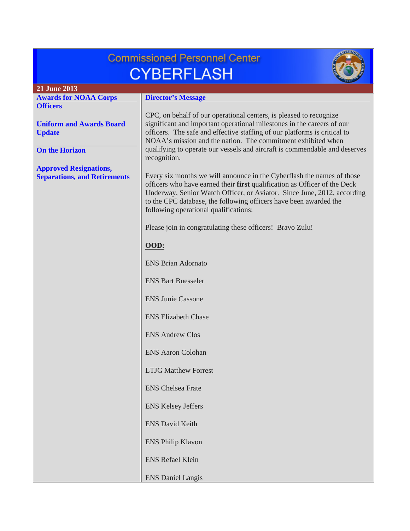| <b>Commissioned Personnel Center</b>                                 |                                                                                                                                                                                                                                                                                                                                              |  |
|----------------------------------------------------------------------|----------------------------------------------------------------------------------------------------------------------------------------------------------------------------------------------------------------------------------------------------------------------------------------------------------------------------------------------|--|
| <b>CYBERFLASH</b>                                                    |                                                                                                                                                                                                                                                                                                                                              |  |
| 21 June 2013                                                         |                                                                                                                                                                                                                                                                                                                                              |  |
| <b>Awards for NOAA Corps</b>                                         | <b>Director's Message</b>                                                                                                                                                                                                                                                                                                                    |  |
| <b>Officers</b>                                                      |                                                                                                                                                                                                                                                                                                                                              |  |
| <b>Uniform and Awards Board</b><br><b>Update</b>                     | CPC, on behalf of our operational centers, is pleased to recognize<br>significant and important operational milestones in the careers of our<br>officers. The safe and effective staffing of our platforms is critical to<br>NOAA's mission and the nation. The commitment exhibited when                                                    |  |
| <b>On the Horizon</b>                                                | qualifying to operate our vessels and aircraft is commendable and deserves<br>recognition.                                                                                                                                                                                                                                                   |  |
| <b>Approved Resignations,</b><br><b>Separations, and Retirements</b> | Every six months we will announce in the Cyberflash the names of those<br>officers who have earned their first qualification as Officer of the Deck<br>Underway, Senior Watch Officer, or Aviator. Since June, 2012, according<br>to the CPC database, the following officers have been awarded the<br>following operational qualifications: |  |
|                                                                      | Please join in congratulating these officers! Bravo Zulu!                                                                                                                                                                                                                                                                                    |  |
|                                                                      | OOD:                                                                                                                                                                                                                                                                                                                                         |  |
|                                                                      | <b>ENS Brian Adornato</b>                                                                                                                                                                                                                                                                                                                    |  |
|                                                                      | <b>ENS Bart Buesseler</b>                                                                                                                                                                                                                                                                                                                    |  |
|                                                                      | <b>ENS Junie Cassone</b>                                                                                                                                                                                                                                                                                                                     |  |
|                                                                      | <b>ENS Elizabeth Chase</b>                                                                                                                                                                                                                                                                                                                   |  |
|                                                                      | <b>ENS Andrew Clos</b>                                                                                                                                                                                                                                                                                                                       |  |
|                                                                      | <b>ENS Aaron Colohan</b>                                                                                                                                                                                                                                                                                                                     |  |
|                                                                      | <b>LTJG Matthew Forrest</b>                                                                                                                                                                                                                                                                                                                  |  |
|                                                                      | <b>ENS</b> Chelsea Frate                                                                                                                                                                                                                                                                                                                     |  |
|                                                                      | <b>ENS Kelsey Jeffers</b>                                                                                                                                                                                                                                                                                                                    |  |
|                                                                      | <b>ENS David Keith</b>                                                                                                                                                                                                                                                                                                                       |  |
|                                                                      | <b>ENS Philip Klavon</b>                                                                                                                                                                                                                                                                                                                     |  |
|                                                                      | <b>ENS Refael Klein</b>                                                                                                                                                                                                                                                                                                                      |  |
|                                                                      | <b>ENS Daniel Langis</b>                                                                                                                                                                                                                                                                                                                     |  |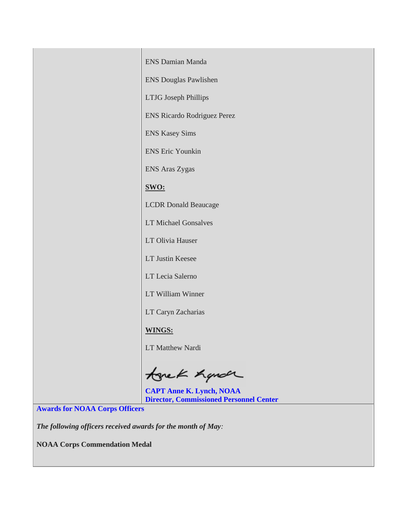| <b>ENS Damian Manda</b>            |
|------------------------------------|
| <b>ENS Douglas Pawlishen</b>       |
| <b>LTJG</b> Joseph Phillips        |
| <b>ENS Ricardo Rodriguez Perez</b> |
| <b>ENS Kasey Sims</b>              |
| <b>ENS Eric Younkin</b>            |
| ENS Aras Zygas                     |
| SWO:                               |
| <b>LCDR</b> Donald Beaucage        |
| <b>LT Michael Gonsalves</b>        |
| LT Olivia Hauser                   |
| <b>LT Justin Keesee</b>            |
| LT Lecia Salerno                   |
| LT William Winner                  |
| LT Caryn Zacharias                 |
| <b>WINGS:</b>                      |
| <b>LT Matthew Nardi</b>            |

tonek hande

**CAPT Anne K. Lynch, NOAA Director, Commissioned Personnel Center**

<span id="page-1-0"></span>**Awards for NOAA Corps Officers**

*The following officers received awards for the month of May:*

**NOAA Corps Commendation Medal**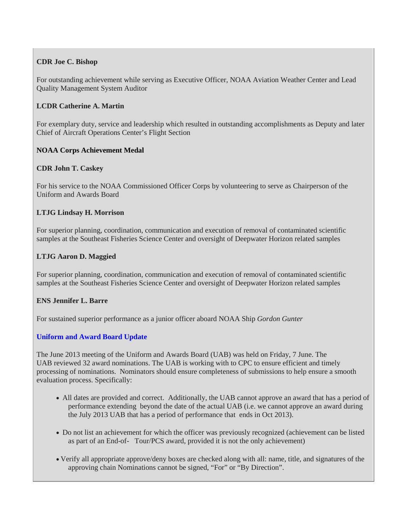# **CDR Joe C. Bishop**

For outstanding achievement while serving as Executive Officer, NOAA Aviation Weather Center and Lead Quality Management System Auditor

## **LCDR Catherine A. Martin**

For exemplary duty, service and leadership which resulted in outstanding accomplishments as Deputy and later Chief of Aircraft Operations Center's Flight Section

## **NOAA Corps Achievement Medal**

## **CDR John T. Caskey**

For his service to the NOAA Commissioned Officer Corps by volunteering to serve as Chairperson of the Uniform and Awards Board

## **LTJG Lindsay H. Morrison**

For superior planning, coordination, communication and execution of removal of contaminated scientific samples at the Southeast Fisheries Science Center and oversight of Deepwater Horizon related samples

## **LTJG Aaron D. Maggied**

For superior planning, coordination, communication and execution of removal of contaminated scientific samples at the Southeast Fisheries Science Center and oversight of Deepwater Horizon related samples

#### **ENS Jennifer L. Barre**

<span id="page-2-0"></span>For sustained superior performance as a junior officer aboard NOAA Ship *Gordon Gunter*

#### **Uniform and Award Board Update**

The June 2013 meeting of the Uniform and Awards Board (UAB) was held on Friday, 7 June. The UAB reviewed 32 award nominations. The UAB is working with to CPC to ensure efficient and timely processing of nominations. Nominators should ensure completeness of submissions to help ensure a smooth evaluation process. Specifically:

- All dates are provided and correct. Additionally, the UAB cannot approve an award that has a period of performance extending beyond the date of the actual UAB (i.e. we cannot approve an award during the July 2013 UAB that has a period of performance that ends in Oct 2013).
- Do not list an achievement for which the officer was previously recognized (achievement can be listed as part of an End-of- Tour/PCS award, provided it is not the only achievement)
- Verify all appropriate approve/deny boxes are checked along with all: name, title, and signatures of the approving chain Nominations cannot be signed, "For" or "By Direction".